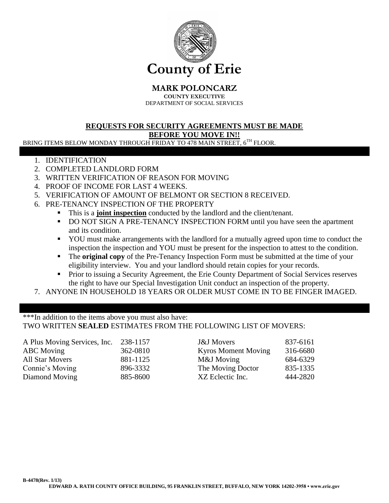

**MARK POLONCARZ**

**COUNTY EXECUTIVE** DEPARTMENT OF SOCIAL SERVICES

## **REQUESTS FOR SECURITY AGREEMENTS MUST BE MADE BEFORE YOU MOVE IN!!**

BRING ITEMS BELOW MONDAY THROUGH FRIDAY TO 478 MAIN STREET, 6TH FLOOR.

- 1. IDENTIFICATION
- 2. COMPLETED LANDLORD FORM
- 3. WRITTEN VERIFICATION OF REASON FOR MOVING
- 4. PROOF OF INCOME FOR LAST 4 WEEKS.
- 5. VERIFICATION OF AMOUNT OF BELMONT OR SECTION 8 RECEIVED.
- 6. PRE-TENANCY INSPECTION OF THE PROPERTY
	- This is a **joint inspection** conducted by the landlord and the client/tenant.
	- DO NOT SIGN A PRE-TENANCY INSPECTION FORM until you have seen the apartment and its condition.
	- YOU must make arrangements with the landlord for a mutually agreed upon time to conduct the inspection the inspection and YOU must be present for the inspection to attest to the condition.
	- **The original copy** of the Pre-Tenancy Inspection Form must be submitted at the time of your eligibility interview. You and your landlord should retain copies for your records.
	- **Prior to issuing a Security Agreement, the Erie County Department of Social Services reserves** the right to have our Special Investigation Unit conduct an inspection of the property.
- 7. ANYONE IN HOUSEHOLD 18 YEARS OR OLDER MUST COME IN TO BE FINGER IMAGED.

\*\*\*In addition to the items above you must also have: TWO WRITTEN **SEALED** ESTIMATES FROM THE FOLLOWING LIST OF MOVERS:

| A Plus Moving Services, Inc. | 238-1157 | <b>J&amp;J</b> Movers      | 837-6161 |
|------------------------------|----------|----------------------------|----------|
| <b>ABC</b> Moving            | 362-0810 | <b>Kyros Moment Moving</b> | 316-6680 |
| <b>All Star Movers</b>       | 881-1125 | M&J Moving                 | 684-6329 |
| Connie's Moving              | 896-3332 | The Moving Doctor          | 835-1335 |
| Diamond Moving               | 885-8600 | XZ Eclectic Inc.           | 444-2820 |